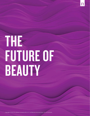# THE FUTURE OF BEAUTY

Copyright © 2018 The Nielsen Company (US), LLC. Confidential and proprietary. Do not distribute.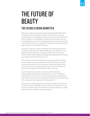# THE FUTURE OF BEAUTY

# THE FUTURE IS BEING REWRITTEN

More than nearly any other fast-moving consumer goods (FMCG) sector, the beauty industry is guided by trends. And over the last few years, multiple trends have emerged with the promise that they will redefine the future of beauty. From balayage to activated charcoal, it seems like the next big thing can come from just about anywhere. And while that's more true than ever, how are you supposed to know when something really is a *thing*, and when it's just a flash in the pan?

The secret is finding a connection between the micro-trend and macro consumer needs, which are readily shifting. Because, while we're in the midst of a great proliferation of brands, products, services and, yes, trends, the new shifts creating sustained growth opportunities for brands and retailers are really nothing new at all.

More than ever, trends are starting small and growing into something far more mainstream. Over the last three years, distribution of beauty and personal care items with charcoal have nearly quadrupled. And as the trends grow, they constantly evolve, take new forms and help new products and categories find connections with consumers.

So, the real question becomes, how do you justify investing in understanding something that represents just 1% of your category or market? Well, if in fact that micro trend is connected to a more systemic shift in the market and you're *not* along for that journey, you'll spend more time catching up then adapting to the evolving shifts.

Today, there are three big systemic shifts that will redefine the future of the beauty industry. While they represent the future, these shifts should come as no surprise. But, the breadth of forms they're taking are creating micro-trends that represent serious opportunity.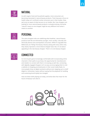

# NATURAL

As with organic food and household supplies, more consumers are becoming interested in natural beauty products. That's because a focus on health today isn't confined to what consumers put in their bodies. Now, we're just as aware of what we put *on* our bodies. But, how shoppers are looking for more natural beauty products is already evolving. And what "natural" means to one shopper might be very different from what it means to another.



#### **PERSONAL**

The same shoppers who are redefining what healthier, natural beauty products look like are themselves younger, more racially, culturally and ethnically diverse and cosmopolitan consumers. While it's arguable that Millennials are "killing" the beauty industry (along with every other one), they clearly represent a more diverse shopper base. But, it's not about appealing to the new beauty shopper. There is no one beauty shopper.



## **CONNECTED**

As more buyers grow increasingly comfortable with incorporating online channels in their paths to purchase, the opportunity for manufacturers and retailers to connect with them is increasing as well. But, connecting with digitally engaged shoppers isn't as easy as encouraging them to visit a website or dropping promoted posts in their social media feeds. As more people shop via digital assistants without ever stepping up to a shelf (digital or otherwise), it goes without saying that the playbook for building and sustaining brand loyalty has changed.

How are these shifts playing out today, and what does that mean for the future of beauty? Let's dive in.

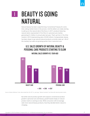# BEAUTY IS GOING NATURAL 1

Natural beauty has been outperforming "conventional" beauty for some time, taking market share in the process. And the dollars are really starting to add up on the natural side of the fence. In 2017, products featuring natural claims represented 3.1% of the U.S. personal care market, generating \$1.3 billion in annual sales last year. That's up from 2.1% of the market in 2013 (representing sales of \$230 million). Comparatively, beauty has been slower to go natural (natural products currently make up 1.4% of the market), but sales are growing quicker than in personal care.

### U.S. SALES GROWTH OF NATURAL BEAUTY & PERSONAL CARE PRODUCTS STARTING TO SLOW



#### NATURAL SALES GROWTH VS. YEAR-AGO

Source: Nielsen Wellness Track, data ended Dec.30, 2017 vs. year-ago. *"Natural cosmetics" are those with natural product claims.*

But while natural product growth still outpaces conventional product growth in personal care and beauty, growth based simply on natural product claims is starting to slow. While consumers still increasingly seek more natural beauty products, how they decided what's natural is changing.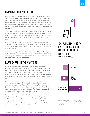# LIVING WITHOUT IS BEAUTIFUL

Let's look at sales trends in cosmetics. Through traditional retail outlets, sales of cosmetics as a whole actually declined just shy of 1% over the last year. Looking at natural cosmetics—at least those claiming to be natural we see a similar trajectory. Sales of those products have declined 1.2% on the year, underperforming the category as a whole. That's not the case, however, when we look at products made without certain ingredients, like parabens.

This is just one example of a big shift in what consumers expect from the products they buy. It's no longer enough for brands to simply say they're natural; they have to authentically prove it. And in looking at recent sales trends, the absence of certain ingredients is one proven way to achieve this.

As with many other sectors across FMCG, natural beauty is increasingly about what's *not* in the product. In fact, 53% of FMCG consumers say the absence of undesirable ingredients is more important than the inclusion of beneficial ones.

While most beauty and personal care categories still lag edible categories in this consideration, hair care, skin care and cosmetics consumers are all more likely than the average beauty and personal care shopper to look for products without artificial ingredients.

# PARABEN FREE IS THE WAY TO BE

In recent years, beauty shoppers have become more focused on parabens as an ingredient to avoid than just about any other. For many consumers, synthetic compounds like propylparaben and butylparaben are hard to pronounce and hard to view as a safe ingredient. And beauty manufacturers have been responsive to these concerns. In fact, just 35% of beauty products contain parabens, down nearly 7 points over the last two years.

Relative to other packaged goods categories, beauty and skin care manufacturers have been quite responsive to shifting consumer preferences. Just a quarter of dairy products and a third of packaged food sold in 2017 were "clean label," meaning they were devoid of any undesirable ingredients. In edible categories, undesirable ingredients include things like high fructose corn syrup or MSG.

But for the beauty industry, there's still work to be done. Many categories still derive a significant share of sales from products with parabens and likely many other undesirable ingredients. The good news? Those categories still heavily focused on parabens are some of the fastest shifting to paraben-free. Over the last two years, facial cosmetics have gone from just 43% paraben-free to 54%.



### CONSUMERS FLOCKING TO BEAUTY PRODUCTS WITH SIMPLER INGREDIENTS

COSMETICS SALES GROWTH VS. YEAR-AGO



Source: Nielsen Wellness Track & Product Insider, powered by Label Insight, data ended Dec. 30, 2017 vs. year-ago. *"Natural cosmetics" are those with natural product claims.*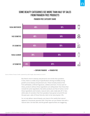#### SOME BEAUTY CATEGORIES SEE MORE THAN HALF OF SALES FROM PARABEN FREE PRODUCTS

#### PARABEN FREE CATEGORY SHARE



Source: Nielsen Product Insider, powered by Label Insight, data ended Jul. 29, 2017.

But there's more to beauty and personal care trends than parabens. In fact, there is a wide array of specifications driving incredibly strong growth across beauty and personal care. These include products free from phthalates, artificial fragrances, sulfates and more. Across each of these, products without these ingredients are selling faster than those that include the same ingredients. But when products are free of some or all of these ingredients *and* include a natural claim, sales really take off. In fact, while sales of cosmetics free from parabens have grown around 2% over the past year, sales of those that also claim to be natural grew 12%.

So, to truly deliver natural beauty, you have to first satisfy that natural appeal at a functional, granular level. Only then can you bolster that with a natural claim. Do that well, and the growth opportunities are staggering.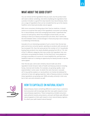# WHAT ABOUT THE GOOD STUFF?

You can remove all the ingredients that you want, but the product does still need to deliver *something*. And while simplifying the ingredients that a product includes is a good first step towards truly natural beauty, there are a range of ingredients that can be included that live up to the cleaner, healthier and at least perceivably natural appeal.

With more consumers thinking about their food as medicine, it should come as no surprise that many of the ingredients consumers are looking for in natural beauty come from emerging food trends. Superfoods like coconut oil and quinoa, which first emerged as food trends, are now starting to show up in beauty and personal care items. But it seems like the time between when a trend emerges in food and jumps over to beauty is condensing tremendously.

Avocado oil is an interesting example of such a trend. Over the last two years and across consumer goods, spending on products with avocado oil has increased 31%. Over the same period, the number of U.S. households buying these products has nearly doubled, growing from 6% to 11%. And of the 31 different categories that now contain this ingredient, hair care and lotions are growing the fastest. On the food front, more people are turning to avocados as a source of a more healthful fat, and that more healthful trade-out is creating an opportunity for beauty brands to tap the same appeal.

Over the last year, we've seen similarly natural trade-outs drive ingredient trends forward. Sales of health and beauty products including honey, charcoal and micellar, for example, are growing rapidly—even exponentially in some cases. So what's the next charcoal or avocado oil? It may well be seaberry or sea buckthorn oil, herbal oils believed for centuries to have anti-aging properties. Sales of beauty products including these ingredients are growing over 200% annually, primarily in skin care, but in hair care and cosmetics as well.



# HOW TO CAPITALIZE ON NATURAL BEAUTY

Natural beauty means something different to each of your customers. And consumers will increasingly take their own paths toward a more natural beauty experience. These transparency-minded consumers seek authentic brands and products, and each will likely seek different natural appeals on their path toward a more natural beauty regimen. So, what's *your* path toward natural beauty?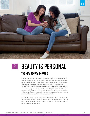

# 2 BEAUTY IS PERSONAL

# THE NEW BEAUTY SHOPPER

Finding your path to truly natural beauty starts with an understanding of your consumer. As consumers are increasingly focused on narrower, more personal definitions of natural beauty, we've seen rampant fragmentation of consumer segments. Even across this single dimension, it's clear there's no *one* natural beauty consumer. As you're thinking about tapping emerging trends like natural beauty, the shoppers that delivered growth in years past will likely *not* be the ones to get you through to tomorrow. But, while it might be easy to blame Millennials for any struggles you're having, that view of consumer diversity is far too simplistic.

For example, buyers of hair care products without artificial fragrances are far more likely to be ethnically diverse, younger and cosmopolitan. To truly understand the needs of your shopper, we have to look at more nuanced, personal consumer segments.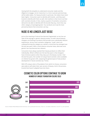Having both the empathy to understand consumer needs and the diligence to engage, not en masse but in a more nuanced, personal way will be table stakes. For beauty brands in particular, the stakes have never been higher. Consumers want to identify with brands—and they want brands to identify with them as well. And nowhere is that more true than with cosmetics brands. In fact, nearly a quarter of cosmetics consumers demand to be able to identify with the brands they buy, more than any other category of packaged goods. Your products are truly the most *personal* products that consumers can buy.

# NUDE IS NO LONGER JUST BEIGE

Just as the meaning of natural has become fragmented, so too has our view of the average or generic beauty product. As with natural beauty, shoppers are flocking to products that provide more individually relevant experiences. Across most cosmetics categories, "nude" colors are underperforming the category as a whole, a trend that has emerged over the last two years. With a more diverse consumer base, what was once generic has now become less relevant.

Consumers have always wanted their beauty products to reflect their individuality. What's shifted over the last few years is that shoppers have immense options when they step up to the beauty counter. Over the last five years, the number of unique facial cosmetic colors available on shelves has grown 22%, outpacing the general pace of new product development in facial cosmetics by 7 times.

With 679 unique colors of foundation from which to choose, consumers were able to self-select their own version of beauty. And in the process, brands that haven't adapted have lost share.



#### COSMETIC COLOR OPTIONS CONTINUE TO GROW NUMBER OF UNIQUE FOUNDATION COLORS SOLD

Source: Nielsen Retail Measurement Services, Core syndicated hierarchy, Total U.S., 52 weeks ended Dec. 30, 2017 vs. prior periods.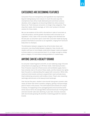# CATEGORIES ARE BECOMING FEATURES

Consumers' focus on transparency and ingredients has implications beyond making beauty more natural. In much the same way that smartphones have all but made dedicated point-and-shoot cameras obsolete, entire categories are becoming folded into other products' feature set. That's because consumers no longer shop categories. They shop their needs. And increasingly, an "all-in-one" product is the best solution for those needs.

We can see evidence of this shift in the decline in sales of sunscreen as a discrete product, and the growth of products with sunscreen as an ingredient. In fact, sales in the sunscreen category have declined over the last year as consumers opt to cover their sunscreen needs by buying products that feature sunscreen as an ingredient, ranging from hand and body lotion to shampoo.

The delineation between categories has all but broken down and consumers now shop fluidly between categories. Now, brands and retailers will have to more deeply understand shopper needs and appeal to those needs on a more personal level. It's no longer enough to simply grow a category. It's more about solving problems in creative ways.

# ANYONE CAN BE A BEAUTY BRAND

As consumer needs fragment and shift, an ever-widening range of brands and products are popping up to fill those needs. Indie beauty brands free of massive corporate infrastructures and worldwide supply chains have certainly risen to fit some of these needs, and the industry has rightly been focused on understanding their appeal with consumers. While indie, small and niche brands continue to expand their reach and take share, they're delivering consumers with endless choice. They're also rewarding seemingly odd entrants to the beauty brand landscape.

Over the last five years, retailers' store brands have grown cosmetic sales nearly 3X faster than entire cosmetics category, gaining a full percentage point of share in the process. This shift toward store brands isn't unique to beauty. It's happening across packaged goods and around the world. At the close of 2016, the average FMCG national brand saw 1%-3% growth and store brands' sales were declining. A year later, fortunes reversed, with store brands growing 2% amid flat or declining growth for national brands.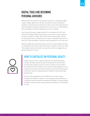# DIGITAL TOOLS ARE BECOMING PERSONAL ADVISORS

While brands and retailers have granted consumers a seemingly endless range of range, digital tools, devices and platforms have empowered shoppers to find the precise products for them. And in the short period of time that digital has become ubiquitous for many of us, our relationships with technology is already changing how we use it. Rapidly.

Over the last five years, Google searches for "foundation for me" have more than doubled. Mobile devices give us the answer to any request at the tap (or swipe) of a finger. But as these devices have gotten smarter, we now expect them to understand our unique, individual needs and so a search for "best foundation" becomes "best foundation for me" over time.

While we might have previously asked a friend or retail associate for help in making this choice, we're now entrusting our devices to meet our needs. This enables brands and retailers new points at which to engage. But, as always, relevance is critical.



# HOW TO CAPITALIZE ON PERSONAL BEAUTY

Today, anyone can be a relevant beauty brand. While the beauty industry has been heavily focused on the growth of indie brands and they will certainly continue to drive innovation in the market the premise of what it means to be a brand is being redefined. In fact, many direct-to-consumer brands actively communicate that they give consumers value by stripping away the wasteful overhead that big brands bring.

But what they're getting at is the inefficiency of a mass market strategy, the antidote to which is a more targeted, personalized and ultimately relevant method of building brand loyalty. The path toward building a relevant brand is being authentically relevant to individuals, at scale.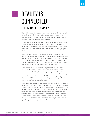# 3

# BEAUTY IS CONNECTED

# THE BEAUTY OF E-COMMERCE

The mobile internet is undeniably one of the greatest tools ever created for reaching individuals at scale. Constant connectivity means shoppers can research and buy whenever and wherever they like. Mobile phones are some of the most personal devices we own.

Given widespread mobile connectivity, it might come as no surprise that consumer spending on beauty products has shifted online faster and greater than nearly every other packaged goods category. In fact, nearly one in three dollars spent on beauty products in the U.S. today is spent online.

This critical mass, at such an early stage of online development, is impressive. Americans spent over \$12 billion on beauty and personal care products online over the last year. What's truly staggering is how rapidly this sizable business is growing and how quickly share is moving to online channels. Notably, that \$12 billion in spending represents 30% of dollars flowing through online channels, up from just 24% a year ago.

Beauty and personal care products are particularly ripe for online development, given consumers' combined interest in both exploring new products and replenishing the ones they already own and love. These two shopper modes—discovery and replenishment—are some of the strongest drivers of online penetration across FMCG. While beauty shoppers are ahead of the FMCG curve in online shopping, we're still very early in the development of truly connected beauty.

To understand where things are headed, Nielsen conducted an analysis of online share today, and included an index of factors that indicate whether shoppers might be willing to shop online in the future. We considered the impact that value, convenience, variety and experience have on shoppers' willingness to buy a category online and scored each accordingly. While fragrance, hand and body lotion and cosmetics have amassed the most significant online share of sales to date, our analysis indicates that hair care, and hair coloring in particular, presents the biggest online growth opportunity across beauty and personal care.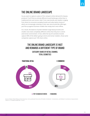# THE ONLINE BRAND LANDSCAPE

So you want to capture a piece of this rampant online demand for beauty products? You'll find an entirely different brand landscape online than in traditional brick and mortar retail. From new brands and retailers ranging from direct-to-consumer pureplay brands and subscription (many of which are increasingly investing in their own store brand-like offerings), you'll be up against business models that simply don't exist offline.

As a result, the balance of power between large beauty brands and smaller ones looks completely different online than they do in a brickand-mortar environment. In fact, while the top 20 cosmetics brands capture 90% of the dollars going to brick-and-mortar retailers, those same companies capture just 14% share online.

## THE ONLINE BRAND LANDSCAPE IS VAST AND REWARDS A DIFFERENT TYPE OF BRAND





Source: Nielsen Retail Measurement Services, Core syndicated hierarchy All Outlets Combined + Convenience, and Nielsen E-commerce measurement, Total U.S., 52 weeks ended Nov. 4, 2017.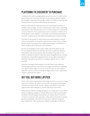# PLATFORMS TIE DISCOVERY TO PURCHASE

Compared with other packaged goods sectors and much of retail, online giant Amazon has not driven the bulk of online beauty growth. Rather, the strength of specialty and prestige retailers like Sephora and Ulta have powered much of the early online beauty development.

But the online beauty landscape surely isn't constrained to activity on retailers' sites and apps. As more research has moved online, facilitating new product and brand discovery, much of that activity has concentrated on social networks. This is particularly true for cosmetics, in which social media garners more influence on the path-to-purchase than just about any other category across non-edible packaged goods (except shaving).

The effect of the growth of social media and mobile platforms should come as no surprise. As consumers spend more of their time on mobile devices, it was only natural that mobile advertising got its foothold in brand media, product discovery and inspiration.

But the next battleground for many mobile and social platforms will be harnessing the data that tells them what their audiences might be interested in and connecting that with the ability to buy right on the platform. Brands are able to make their posts shoppable across a variety of platforms, essentially bringing the point-of-sale right to the point-ofdiscovery. The path-to-purchase is no longer a path at all. It's a short moment.

And when the digital shelf extends to include these social platforms, merchandising will look more like search engine optimization as getting your digital content right not just for consumers but also the ranking algorithms will be crucial to winning the digital shelf. Is your organization ready to make that transition?

# HEY YOU, BUY MORE LIPSTICK

We're in the midst of yet another technology transition to voice as a major input to our devices. As millions of consumers bring voice-based digital assistants into their homes, brands, retailers and platforms face new opportunities and challenges to connect with those consumers.

These devices make technology disappear. You simply talk to your device: there's no tapping, swiping or clicking. While some might say that spells the death of brand loyalty, these devices are a great way for brands to re-instill a connection with consumers. They reduce the friction in buying goods and empower consumers to more easily replenish the goods they already love. They can also tap a deeper knowledge of individual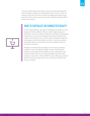consumer needs and purchase history. They're truly *personal* assistants, and increasingly, shoppers are utilizing their devices to shop. In fact, our research shows that more than one-third of Google Home owners have used their devices to buy a personal care item, followed closely by 29% of Amazon Echo owners.

# HOW TO CAPITALIZE ON CONNECTED BEAUTY

As with social platforms, the rules for building brand loyalty in a voicebased world will be different. Without a shelf—digital, physical or otherwise—you won't be able to influence the purchase via packaging, brand name or many of the traditional tactics that merchants have used for centuries. But if you can find a way to leverage the data and technology on which these devices are built to make your products personally relevant for consumers, you'll have a greater chance to succeed in this future.

Building a connected beauty strategy is not the same as building a digital or even omni*channel* strategy. It's about thinking about how you can leverage *all* of the platforms at your disposal for their maximum utility. How are you using technology to provide useful services to consumers—online and off? Are you making your products platform-worthy, enticing users to not only share your product but *love* your product?

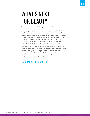# WHAT'S NEXT FOR BEAUTY

Technology has never truly changed fundamental consumer needs. It may enable new behaviors, but the fundamentals of brand building have never really changed. Can you create a product that authentically fits a need that your consumers have and use the platforms at your disposal to achieve distribution at scale? The fact that consumers are more health and wellness focused, more diverse and more technologically empowered shouldn't fundamentally change your purpose as a brand, retailer or company. However, these shifts will require you to change how you reach—and ultimately prove your purpose to—those consumers.

To win in the future, brands will need to throw out their old playbooks. Consumers are as focused on the transparency of the company and their practices as they are on what goes into the products they make. The beauty brands—really *all* brands—that will be successful, will be authentic and true, flexible enough to be relevant to a wider array of consumers, and harness the digital tools and platforms to achieve this at scale.

# SO, WHAT DO YOU STAND FOR?